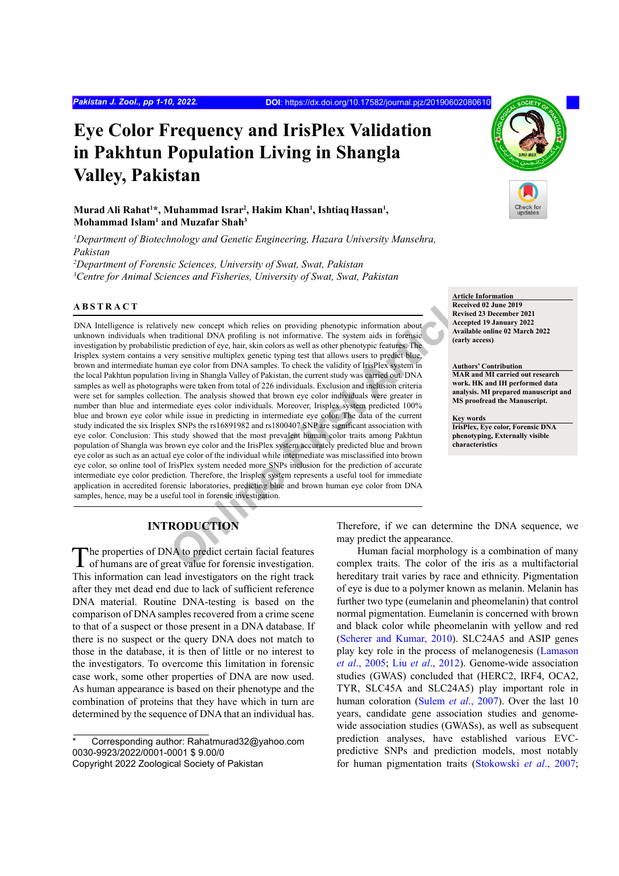# **Eye Color Frequency and IrisPlex Validation in Pakhtun Population Living in Shangla Valley, Pakistan**

# **Murad Ali Rahat1 \*, Muhammad Israr2 , Hakim Khan1 , IshtiaqHassan1 , Mohammad Islam1 and Muzafar Shah3**

<sup>1</sup>Department of Biotechnology and Genetic Engineering, Hazara University Mansehra, *Pakistan*

*2 Department of Forensic Sciences, University of Swat, Swat, Pakistan 3 Centre for Animal Sciences and Fisheries, University of Swat, Swat, Pakistan*

# **ABSTRACT**

First Articles on providing phenotypic information about<br>
Fractitional DNA profiling is not informative. The system aids in foreign:<br>
Decembent traditional DNA profiling is not informative. The system aids in foreign:<br>
Dec DNA Intelligence is relatively new concept which relies on providing phenotypic information about unknown individuals when traditional DNA profiling is not informative. The system aids in forensic investigation by probabilistic prediction of eye, hair, skin colors as well as other phenotypic features. The Irisplex system contains a very sensitive multiplex genetic typing test that allows users to predict blue, brown and intermediate human eye color from DNA samples. To check the validity of IrisPlex system in the local Pakhtun population living in Shangla Valley of Pakistan, the current study was carried out. DNA samples as well as photographs were taken from total of 226 individuals. Exclusion and inclusion criteria were set for samples collection. The analysis showed that brown eye color individuals were greater in number than blue and intermediate eyes color individuals. Moreover, Irisplex system predicted 100% blue and brown eye color while issue in predicting in intermediate eye color. The data of the current study indicated the six Irisplex SNPs the rs16891982 and rs1800407 SNP are significant association with eye color. Conclusion: This study showed that the most prevalent human color traits among Pakhtun population of Shangla was brown eye color and the IrisPlex system accurately predicted blue and brown eye color as such as an actual eye color of the individual while intermediate was misclassified into brown eye color, so online tool of IrisPlex system needed more SNPs inclusion for the prediction of accurate intermediate eye color prediction. Therefore, the Irisplex system represents a useful tool for immediate application in accredited forensic laboratories, predicting blue and brown human eye color from DNA samples, hence, may be a useful tool in forensic investigation.



**Article Information Received 02 June 2019 Revised 23 December 2021 Accepted 19 January 2022 Available online 02 March 2022**

**(early access)**

**Authors' Contribution MAR and MI carried out research work. HK and IH performed data analysis. MI prepared manuscript and MS proofread the Manuscript.**

**Key words IrisPlex, Eye color, Forensic DNA phenotyping, Externally visible characteristics**

# **INTRODUCTION**

The properties of DNA to predict certain facial features<br>of humans are of great value for forensic investigation. This information can lead investigators on the right track after they met dead end due to lack of sufficient reference DNA material. Routine DNA-testing is based on the comparison of DNA samples recovered from a crime scene to that of a suspect or those present in a DNA database. If there is no suspect or the query DNA does not match to those in the database, it is then of little or no interest to the investigators. To overcome this limitation in forensic case work, some other properties of DNA are now used. As human appearance is based on their phenotype and the combination of proteins that they have which in turn are determined by the sequence of DNA that an individual has.

Corresponding author: Rahatmurad32@yahoo.com 0030-9923/2022/0001-0001 \$ 9.00/0

Therefore, if we can determine the DNA sequence, we may predict the appearance.

Human facial morphology is a combination of many complex traits. The color of the iris as a multifactorial hereditary trait varies by race and ethnicity. Pigmentation of eye is due to a polymer known as melanin. Melanin has further two type (eumelanin and pheomelanin) that control normal pigmentation. Eumelanin is concerned with brown and black color while pheomelanin with yellow and red ([Scherer and Kumar, 2010\)](#page-9-0). SLC24A5 and ASIP genes play key role in the process of melanogenesis ([Lamason](#page-8-0) *et al*[., 2005](#page-8-0); Liu *et al*[., 2012](#page-8-1)). Genome-wide association studies (GWAS) concluded that (HERC2, IRF4, OCA2, TYR, SLC45A and SLC24A5) play important role in human coloration (Sulem *et al*[., 2007](#page-9-1)). Over the last 10 years, candidate gene association studies and genomewide association studies (GWASs), as well as subsequent prediction analyses, have established various EVCpredictive SNPs and prediction models, most notably for human pigmentation traits ([Stokowski](#page-9-2) *et al*., 2007;

Copyright 2022 Zoological Society of Pakistan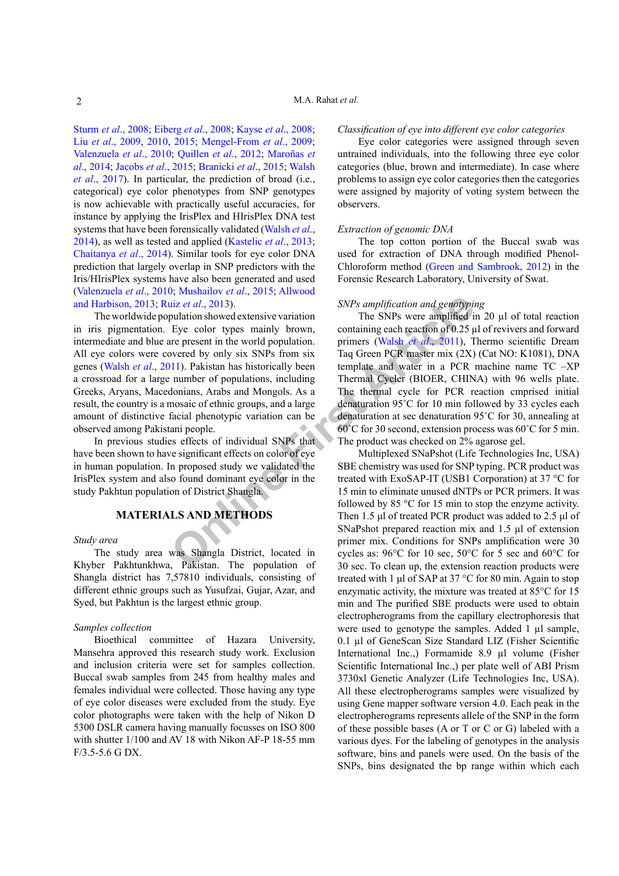Sturm *et al*[., 2008](#page-9-3); [Eiberg](#page-7-0) *et al*., 2008; Kayse *et al*[., 2008](#page-8-2); Liu *et al*[., 2009](#page-8-3), [2010](#page-8-4), [2015](#page-8-5); [Mengel-From](#page-8-6) *et al*., 2009; Valenzuela *et al*., 2010; [Quillen](#page-8-7) *et al*., 2012; Maroñas *et al*., 2014; [Jacobs](#page-7-1) *et al*., 2015; Branicki *et al*., 2015; Walsh *et al*., 2017). In particular, the prediction of broad (i.e., categorical) eye color phenotypes from SNP genotypes is now achievable with practically useful accuracies, for instance by applying the IrisPlex and HIrisPlex DNA test systems that have been forensically validated (Walsh *et al*., 2014), as well as tested and applied (Kastelic *et al*., 2013; [Chaitanya](#page-7-2) *et al*., 2014). Similar tools for eye color DNA prediction that largely overlap in SNP predictors with the Iris/HIrisPlex systems have also been generated and used (Valenzuela *et al*., 2010; [Mushailov](#page-8-8) *et al*., 2015; [Allwood](#page-6-0) [and Harbison, 2013](#page-6-0); Ruiz *et al*., 2013).

The worldwide population showed extensive variation in iris pigmentation. Eye color types mainly brown, intermediate and blue are present in the world population. All eye colors were covered by only six SNPs from six genes (Walsh *et al*., 2011). Pakistan has historically been a crossroad for a large number of populations, including Greeks, Aryans, Macedonians, Arabs and Mongols. As a result, the country is a mosaic of ethnic groups, and a large amount of distinctive facial phenotypic variation can be observed among Pakistani people.

In previous studies effects of individual SNPs that have been shown to have significant effects on color of eye in human population. In proposed study we validated the IrisPlex system and also found dominant eye color in the study Pakhtun population of District Shangla.

# **MATERIALS AND METHODS**

#### *Study area*

The study area was Shangla District, located in Khyber Pakhtunkhwa, Pakistan. The population of Shangla district has 7,57810 individuals, consisting of different ethnic groups such as Yusufzai, Gujar, Azar, and Syed, but Pakhtun is the largest ethnic group.

#### *Samples collection*

Bioethical committee of Hazara University, Mansehra approved this research study work. Exclusion and inclusion criteria were set for samples collection. Buccal swab samples from 245 from healthy males and females individual were collected. Those having any type of eye color diseases were excluded from the study. Eye color photographs were taken with the help of Nikon D 5300 DSLR camera having manually focusses on ISO 800 with shutter 1/100 and AV 18 with Nikon AF-P 18-55 mm F/3.5-5.6 G DX.

#### *Classification of eye into different eye color categories*

Eye color categories were assigned through seven untrained individuals, into the following three eye color categories (blue, brown and intermediate). In case where problems to assign eye color categories then the categories were assigned by majority of voting system between the observers.

#### *Extraction of genomic DNA*

The top cotton portion of the Buccal swab was used for extraction of DNA through modified Phenol-Chloroform method ([Green and Sambrook, 2012](#page-7-3)) in the Forensic Research Laboratory, University of Swat.

#### *SNPs amplification and genotyping*

**SET ARRPLUMENT SET ARRPLUMENT ARRPLUMENT ARRPLUMENT ARRPLUMENT THE SITE of the symbol specifical properties that the world population. The SNPs were amplified if Eye color types mainly brown, containing each reaction of** The SNPs were amplified in 20  $\mu$ l of total reaction containing each reaction of 0.25 µl of revivers and forward primers (Walsh *et al*., 2011), Thermo scientific Dream Taq Green PCR master mix (2X) (Cat NO: K1081), DNA template and water in a PCR machine name TC –XP Thermal Cycler (BIOER, CHINA) with 96 wells plate. The thermal cycle for PCR reaction cmprised initial denaturation 95˚C for 10 min followed by 33 cycles each denaturation at sec denaturation 95˚C for 30, annealing at 60˚C for 30 second, extension process was 60˚C for 5 min. The product was checked on 2% agarose gel.

Multiplexed SNaPshot (Life Technologies Inc, USA) SBE chemistry was used for SNP typing. PCR product was treated with ExoSAP-IT (USB1 Corporation) at 37 °C for 15 min to eliminate unused dNTPs or PCR primers. It was followed by 85 °C for 15 min to stop the enzyme activity. Then 1.5 μl of treated PCR product was added to 2.5 μl of SNaPshot prepared reaction mix and 1.5 μl of extension primer mix. Conditions for SNPs amplification were 30 cycles as: 96°C for 10 sec, 50°C for 5 sec and 60°C for 30 sec. To clean up, the extension reaction products were treated with 1 μl of SAP at 37 °C for 80 min. Again to stop enzymatic activity, the mixture was treated at 85°C for 15 min and The purified SBE products were used to obtain electropherograms from the capillary electrophoresis that were used to genotype the samples. Added 1 µl sample, 0.1 µl of GeneScan Size Standard LIZ (Fisher Scientific International Inc.,) Formamide 8.9 µl volume (Fisher Scientific International Inc.,) per plate well of ABI Prism 3730xl Genetic Analyzer (Life Technologies Inc, USA). All these electropherograms samples were visualized by using Gene mapper software version 4.0. Each peak in the electropherograms represents allele of the SNP in the form of these possible bases (A or T or C or G) labeled with a various dyes. For the labeling of genotypes in the analysis software, bins and panels were used. On the basis of the SNPs, bins designated the bp range within which each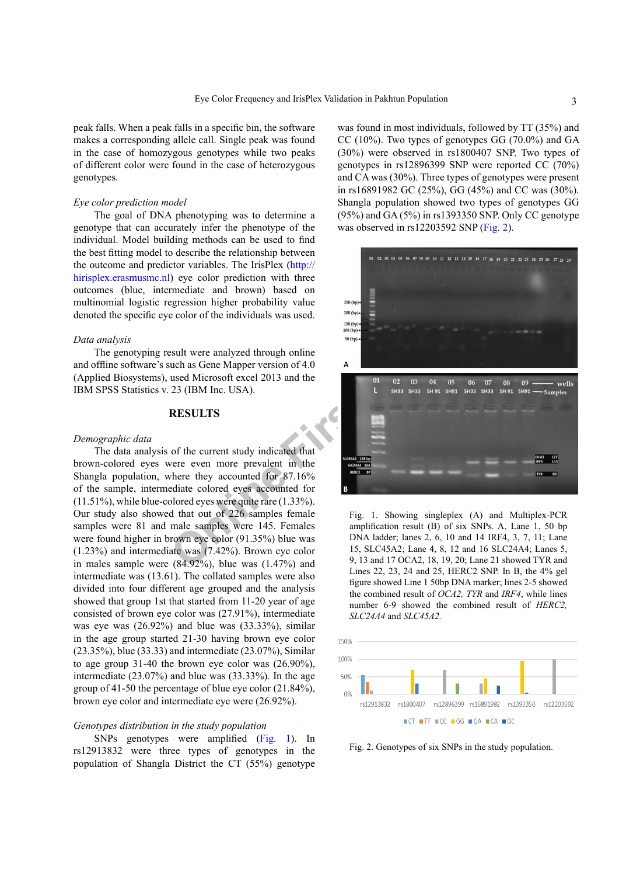peak falls. When a peak falls in a specific bin, the software makes a corresponding allele call. Single peak was found in the case of homozygous genotypes while two peaks of different color were found in the case of heterozygous genotypes.

#### *Eye color prediction model*

The goal of DNA phenotyping was to determine a genotype that can accurately infer the phenotype of the individual. Model building methods can be used to find the best fitting model to describe the relationship between the outcome and predictor variables. The IrisPlex [\(http://](http://hirisplex.erasmusmc.nl) [hirisplex.erasmusmc.nl](http://hirisplex.erasmusmc.nl)) eye color prediction with three outcomes (blue, intermediate and brown) based on multinomial logistic regression higher probability value denoted the specific eye color of the individuals was used.

#### *Data analysis*

The genotyping result were analyzed through online and offline software's such as Gene Mapper version of 4.0 (Applied Biosystems), used Microsoft excel 2013 and the IBM SPSS Statistics v. 23 (IBM Inc. USA).

#### **RESULTS**

#### *Demographic data*

The data analysis of the current study indicated that brown-colored eyes were even more prevalent in the Shangla population, where they accounted for 87.16% of the sample, intermediate colored eyes accounted for (11.51%), while blue-colored eyes were quite rare (1.33%). Our study also showed that out of 226 samples female samples were 81 and male samples were 145. Females were found higher in brown eye color (91.35%) blue was (1.23%) and intermediate was (7.42%). Brown eye color in males sample were  $(84.92\%)$ , blue was  $(1.47\%)$  and intermediate was (13.61). The collated samples were also divided into four different age grouped and the analysis showed that group 1st that started from 11-20 year of age consisted of brown eye color was (27.91%), intermediate was eye was (26.92%) and blue was (33.33%), similar in the age group started 21-30 having brown eye color (23.35%), blue (33.33) and intermediate (23.07%), Similar to age group 31-40 the brown eye color was (26.90%), intermediate (23.07%) and blue was (33.33%). In the age group of 41-50 the percentage of blue eye color (21.84%), brown eye color and intermediate eye were (26.92%).

## *Genotypes distribution in the study population*

SNPs genotypes were amplified [\(Fig. 1\)](#page-2-0). In rs12913832 were three types of genotypes in the population of Shangla District the CT (55%) genotype

was found in most individuals, followed by TT (35%) and CC (10%). Two types of genotypes GG (70.0%) and GA (30%) were observed in rs1800407 SNP. Two types of genotypes in rs12896399 SNP were reported CC (70%) and CA was (30%). Three types of genotypes were present in rs16891982 GC (25%), GG (45%) and CC was (30%). Shangla population showed two types of genotypes GG (95%) and GA (5%) in rs1393350 SNP. Only CC genotype was observed in rs12203592 SNP [\(Fig. 2\)](#page-2-1).



<span id="page-2-0"></span>Fig. 1. Showing singleplex (A) and Multiplex-PCR amplification result (B) of six SNPs. A, Lane 1, 50 bp DNA ladder; lanes 2, 6, 10 and 14 IRF4, 3, 7, 11; Lane 15, SLC45A2; Lane 4, 8, 12 and 16 SLC24A4; Lanes 5, 9, 13 and 17 OCA2, 18, 19, 20; Lane 21 showed TYR and Lines 22, 23, 24 and 25, HERC2 SNP. In B, the 4% gel figure showed Line 1 50bp DNA marker; lines 2-5 showed the combined result of *OCA2, TYR* and *IRF4*, while lines number 6-9 showed the combined result of *HERC2, SLC24A4* and *SLC45A2.*



<span id="page-2-1"></span>Fig. 2. Genotypes of six SNPs in the study population.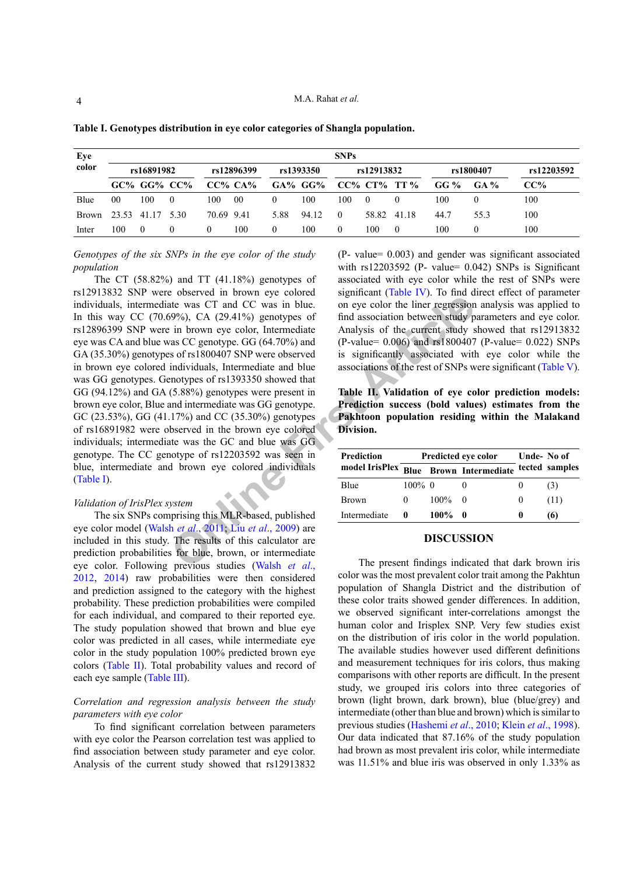| Eye          | <b>SNPs</b>      |             |            |            |                 |          |               |          |             |                       |      |            |      |
|--------------|------------------|-------------|------------|------------|-----------------|----------|---------------|----------|-------------|-----------------------|------|------------|------|
| color        | rs16891982       |             | rs12896399 |            | rs1393350       |          | rs12913832    |          |             | rs1800407             |      | rs12203592 |      |
|              |                  | GC% GG% CC% |            |            | $CC\%$ $CA\%$   |          | $GA\%$ $GG\%$ |          |             | $CC\%$ $CT\%$ TT $\%$ | GG % | $GA\%$     | CC%  |
| Blue         | 00               | 100         | $\theta$   | 100        | 00 <sup>0</sup> | 0        | 100           | 100      | $\Omega$    |                       | 100  |            | 100  |
| <b>Brown</b> | 23.53 41.17 5.30 |             |            | 70.69 9.41 |                 | 5.88     | 94.12         | $\Omega$ | 58.82 41.18 |                       | 44.7 | 55.3       | 100  |
| Inter        | 100              | $\theta$    | $\theta$   | $\Omega$   | 100             | $\Omega$ | 100           | $\theta$ | 100         | $\Omega$              | 100  | $\theta$   | 100. |

<span id="page-3-0"></span>**Table I. Genotypes distribution in eye color categories of Shangla population.**

*Genotypes of the six SNPs in the eye color of the study population*

**CONFIGURE 1995** CONTROLLY CONTROLLY CONTROLLY CONTROLLY CONTROLLY CONTROLLY CONTROLLY CONTROLLY ARTICLATED (10% CONTROLLY CONTROLLY CONTROLLY CONTROLLY CONTROLLY CONTROLLY CONTROLLY CONTROLLY CONTROLLY CONTROLLY CONTROLLY The CT  $(58.82\%)$  and TT  $(41.18\%)$  genotypes of rs12913832 SNP were observed in brown eye colored individuals, intermediate was CT and CC was in blue. In this way CC  $(70.69\%)$ , CA  $(29.41\%)$  genotypes of rs12896399 SNP were in brown eye color, Intermediate eye was CA and blue was CC genotype. GG (64.70%) and GA (35.30%) genotypes of rs1800407 SNP were observed in brown eye colored individuals, Intermediate and blue was GG genotypes. Genotypes of rs1393350 showed that GG (94.12%) and GA (5.88%) genotypes were present in brown eye color, Blue and intermediate was GG genotype. GC (23.53%), GG (41.17%) and CC (35.30%) genotypes of rs16891982 were observed in the brown eye colored individuals; intermediate was the GC and blue was GG genotype. The CC genotype of rs12203592 was seen in blue, intermediate and brown eye colored individuals ([Table I\)](#page-3-0).

#### *Validation of IrisPlex system*

The six SNPs comprising this MLR-based, published eye color model (Walsh *et al*., 2011; Liu *et al*., 2009) are included in this study. The results of this calculator are prediction probabilities for blue, brown, or intermediate eye color. Following previous studies (Walsh *et al*., 2012, 2014) raw probabilities were then considered and prediction assigned to the category with the highest probability. These prediction probabilities were compiled for each individual, and compared to their reported eye. The study population showed that brown and blue eye color was predicted in all cases, while intermediate eye color in the study population 100% predicted brown eye colors ([Table II](#page-3-1)). Total probability values and record of each eye sample ([Table III\)](#page-4-0).

## *Correlation and regression analysis between the study parameters with eye color*

To find significant correlation between parameters with eye color the Pearson correlation test was applied to find association between study parameter and eye color. Analysis of the current study showed that rs12913832

(P- value= 0.003) and gender was significant associated with  $rs12203592$  (P- value= 0.042) SNPs is Significant associated with eye color while the rest of SNPs were significant ([Table IV](#page-4-1)). To find direct effect of parameter on eye color the liner regression analysis was applied to find association between study parameters and eye color. Analysis of the current study showed that rs12913832 (P-value= 0.006) and rs1800407 (P-value= 0.022) SNPs is significantly associated with eye color while the associations of the rest of SNPs were significant ([Table V](#page-5-0)).

<span id="page-3-1"></span>**Table II. Validation of eye color prediction models: Prediction success (bold values) estimates from the Pakhtoon population residing within the Malakand Division.** 

| Prediction   |              | Predicted eye color                                   | Unde-No of |  |      |
|--------------|--------------|-------------------------------------------------------|------------|--|------|
|              |              | model IrisPlex Blue Brown Intermediate tected samples |            |  |      |
| Blue         | $100\%$ 0    |                                                       |            |  | (3)  |
| Brown        | $\mathbf{0}$ | $100\%$ 0                                             |            |  | (11) |
| Intermediate | $\mathbf{0}$ | $100\%$ 0                                             |            |  | (6)  |

#### **DISCUSSION**

The present findings indicated that dark brown iris color was the most prevalent color trait among the Pakhtun population of Shangla District and the distribution of these color traits showed gender differences. In addition, we observed significant inter-correlations amongst the human color and Irisplex SNP. Very few studies exist on the distribution of iris color in the world population. The available studies however used different definitions and measurement techniques for iris colors, thus making comparisons with other reports are difficult. In the present study, we grouped iris colors into three categories of brown (light brown, dark brown), blue (blue/grey) and intermediate (other than blue and brown) which is similar to previous studies [\(Hashemi](#page-7-4) *et al*., 2010; Klein *et al*[., 1998](#page-8-9)). Our data indicated that 87.16% of the study population had brown as most prevalent iris color, while intermediate was 11.51% and blue iris was observed in only 1.33% as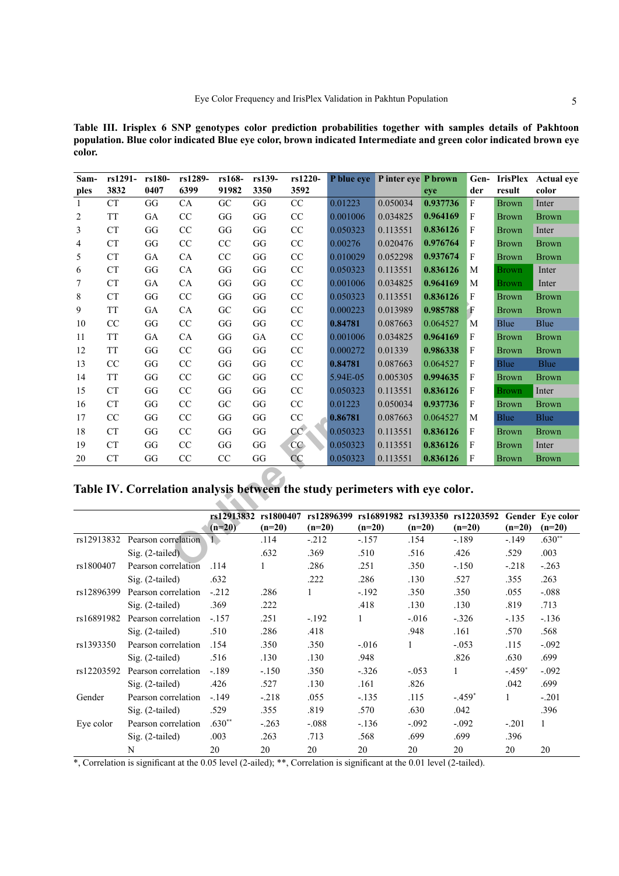<span id="page-4-0"></span>**Table III. Irisplex 6 SNP genotypes color prediction probabilities together with samples details of Pakhtoon population. Blue color indicated Blue eye color, brown indicated Intermediate and green color indicated brown eye color.**

| Sam-<br>ples | rs1291-<br>3832                                                             | rs180-<br>0407      | rs1289-<br>6399 | rs168-<br>91982      | rs139-<br>3350 | rs1220-<br>3592 | P blue eye | Pinter eye P brown                         | eye      | der          | result       | Gen- IrisPlex Actual eye<br>color |
|--------------|-----------------------------------------------------------------------------|---------------------|-----------------|----------------------|----------------|-----------------|------------|--------------------------------------------|----------|--------------|--------------|-----------------------------------|
| 1            | <b>CT</b>                                                                   | GG                  | CA              | GC                   | GG             | CC              | 0.01223    | 0.050034                                   | 0.937736 | $\mathbf{F}$ | <b>Brown</b> | Inter                             |
| 2            | <b>TT</b>                                                                   | GA                  | CC              | GG                   | GG             | CC              | 0.001006   | 0.034825                                   | 0.964169 | F            | <b>Brown</b> | <b>Brown</b>                      |
| 3            | <b>CT</b>                                                                   | GG                  | CC              | GG                   | GG             | CC              | 0.050323   | 0.113551                                   | 0.836126 | $\mathbf{F}$ | <b>Brown</b> | Inter                             |
| 4            | <b>CT</b>                                                                   | GG                  | CC              | CC                   | GG             | CC              | 0.00276    | 0.020476                                   | 0.976764 | F            | <b>Brown</b> | <b>Brown</b>                      |
| 5            | <b>CT</b>                                                                   | GA                  | CA              | CC                   | GG             | CC              | 0.010029   | 0.052298                                   | 0.937674 | F            | <b>Brown</b> | <b>Brown</b>                      |
| 6            | <b>CT</b>                                                                   | GG                  | CA              | GG                   | GG             | CC              | 0.050323   | 0.113551                                   | 0.836126 | M            | <b>Brown</b> | Inter                             |
| 7            | <b>CT</b>                                                                   | GA                  | CA              | GG                   | GG             | CC              | 0.001006   | 0.034825                                   | 0.964169 | M            | <b>Brown</b> | Inter                             |
| 8            | <b>CT</b>                                                                   | GG                  | CC              | GG                   | GG             | CC              | 0.050323   | 0.113551                                   | 0.836126 | F            | <b>Brown</b> | <b>Brown</b>                      |
| 9            | <b>TT</b>                                                                   | GA                  | ${\rm CA}$      | GC                   | GG             | CC              | 0.000223   | 0.013989                                   | 0.985788 | F            | <b>Brown</b> | <b>Brown</b>                      |
| 10           | CC                                                                          | GG                  | CC              | GG                   | GG             | CC              | 0.84781    | 0.087663                                   | 0.064527 | M            | Blue         | Blue                              |
| 11           | <b>TT</b>                                                                   | GA                  | ${\rm CA}$      | GG                   | GA             | CC              | 0.001006   | 0.034825                                   | 0.964169 | F            | <b>Brown</b> | <b>Brown</b>                      |
| 12           | <b>TT</b>                                                                   | GG                  | CC              | GG                   | GG             | CC              | 0.000272   | 0.01339                                    | 0.986338 | F            | <b>Brown</b> | <b>Brown</b>                      |
| 13           | CC                                                                          | GG                  | CC              | GG                   | GG             | CC              | 0.84781    | 0.087663                                   | 0.064527 | $\mathbf F$  | <b>Blue</b>  | <b>Blue</b>                       |
| 14           | <b>TT</b>                                                                   | GG                  | CC              | GC                   | GG             | CC              | 5.94E-05   | 0.005305                                   | 0.994635 | F            | Brown        | <b>Brown</b>                      |
| 15           | <b>CT</b>                                                                   | GG                  | CC              | GG                   | GG             | CC              | 0.050323   | 0.113551                                   | 0.836126 | F            | <b>Brown</b> | Inter                             |
| 16           | <b>CT</b>                                                                   | GG                  | CC              | GC                   | GG             | CC              | 0.01223    | 0.050034                                   | 0.937736 | F            | Brown        | <b>Brown</b>                      |
| 17           | CC                                                                          | GG                  | CC              | GG                   | GG             | CC              | 0.86781    | 0.087663                                   | 0.064527 | M            | Blue         | <b>Blue</b>                       |
| 18           | <b>CT</b>                                                                   | GG                  | CC              | GG                   | GG             | CC              | 0.050323   | 0.113551                                   | 0.836126 | F            | <b>Brown</b> | <b>Brown</b>                      |
| 19           | <b>CT</b>                                                                   | GG                  | CC              | GG                   | GG             | CC              | 0.050323   | 0.113551                                   | 0.836126 | $\mathbf{F}$ | <b>Brown</b> | Inter                             |
| 20           | <b>CT</b>                                                                   | GG                  | CC              | CC                   | GG             | CC              | 0.050323   | 0.113551                                   | 0.836126 | F            | <b>Brown</b> | <b>Brown</b>                      |
|              | Table IV. Correlation analysis between the study perimeters with eye color. |                     |                 |                      |                |                 |            |                                            |          |              |              |                                   |
|              |                                                                             |                     |                 | rs12913832 rs1800407 |                |                 |            | rs12896399 rs16891982 rs1393350 rs12203592 |          |              |              | Gender Eye color                  |
|              |                                                                             |                     |                 | $(n=20)$             | $(n=20)$       | $(n=20)$        | $(n=20)$   |                                            | $(n=20)$ | $(n=20)$     | $(n=20)$     | $(n=20)$                          |
| rs12913832   |                                                                             | Pearson correlation |                 | 1                    | .114           | $-212$          | $-157$     | .154                                       |          | $-189$       | $-.149$      | $.630**$                          |
|              |                                                                             | $Sig. (2-tailed)$   |                 |                      | .632           | .369            | .510       | .516                                       |          | .426         | .529         | .003                              |
| rs1800407    |                                                                             | Pearson correlation |                 | .114                 |                | .286            | 251        | 350                                        |          | $-150$       | $-218$       | $-263$                            |

<span id="page-4-1"></span>**Table IV. Correlation analysis between the study perimeters with eye color.**

|            |                     | rs12913832<br>$(n=20)$ | rs1800407<br>$(n=20)$ | rs12896399<br>$(n=20)$ | rs16891982<br>$(n=20)$ | rs1393350<br>$(n=20)$ | rs12203592<br>$(n=20)$ | $(n=20)$ | Gender Eve color<br>$(n=20)$ |
|------------|---------------------|------------------------|-----------------------|------------------------|------------------------|-----------------------|------------------------|----------|------------------------------|
| rs12913832 | Pearson correlation |                        | .114                  | $-.212$                | $-.157$                | .154                  | $-.189$                | $-.149$  | $.630**$                     |
|            | $Sig. (2-tailed)$   |                        | .632                  | .369                   | .510                   | .516                  | .426                   | .529     | .003                         |
| rs1800407  | Pearson correlation | .114                   |                       | .286                   | .251                   | .350                  | $-.150$                | $-.218$  | $-.263$                      |
|            | $Sig. (2-tailed)$   | .632                   |                       | .222                   | .286                   | .130                  | .527                   | .355     | .263                         |
| rs12896399 | Pearson correlation | $-212$                 | .286                  |                        | $-.192$                | .350                  | .350                   | .055     | $-.088$                      |
|            | $Sig. (2-tailed)$   | .369                   | .222                  |                        | .418                   | .130                  | .130                   | .819     | .713                         |
| rs16891982 | Pearson correlation | $-.157$                | .251                  | $-192$                 | 1                      | $-.016$               | $-.326$                | $-.135$  | $-.136$                      |
|            | $Sig. (2-tailed)$   | .510                   | .286                  | .418                   |                        | .948                  | .161                   | .570     | .568                         |
| rs1393350  | Pearson correlation | .154                   | .350                  | .350                   | $-.016$                |                       | $-.053$                | .115     | $-.092$                      |
|            | $Sig. (2-tailed)$   | .516                   | .130                  | .130                   | .948                   |                       | .826                   | .630     | .699                         |
| rs12203592 | Pearson correlation | $-.189$                | $-.150$               | .350                   | $-.326$                | $-.053$               | 1                      | $-.459*$ | $-.092$                      |
|            | $Sig. (2-tailed)$   | .426                   | .527                  | .130                   | .161                   | .826                  |                        | .042     | .699                         |
| Gender     | Pearson correlation | $-.149$                | $-.218$               | .055                   | $-.135$                | .115                  | $-.459*$               |          | $-.201$                      |
|            | $Sig. (2-tailed)$   | .529                   | .355                  | .819                   | .570                   | .630                  | .042                   |          | .396                         |
| Eye color  | Pearson correlation | $.630**$               | $-.263$               | $-.088$                | $-.136$                | $-.092$               | $-.092$                | $-.201$  | 1                            |
|            | $Sig. (2-tailed)$   | .003                   | .263                  | .713                   | .568                   | .699                  | .699                   | .396     |                              |
|            | N                   | 20                     | 20                    | 20                     | 20                     | 20                    | 20                     | 20       | 20                           |

\*, Correlation is significant at the 0.05 level (2-ailed); \*\*, Correlation is significant at the 0.01 level (2-tailed).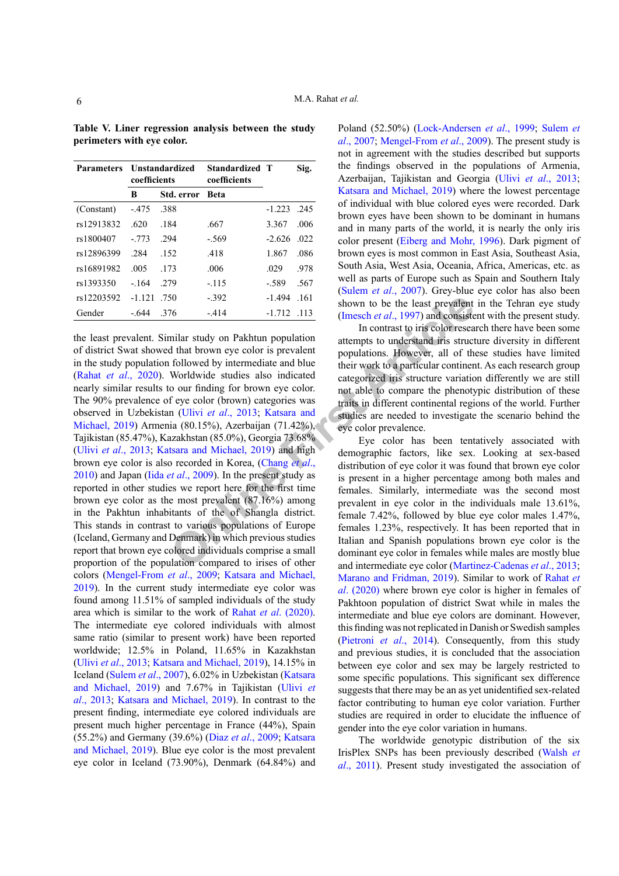| <b>Parameters</b> | coefficients | <b>Unstandardized</b> | Standardized T<br>coefficients |               | Sig.  |
|-------------------|--------------|-----------------------|--------------------------------|---------------|-------|
|                   | В            | Std. error            | <b>Beta</b>                    |               |       |
| (Constant)        | $-475$       | -388                  |                                | $-1.223$      | - 245 |
| rs12913832        | -620         | .184                  | .667                           | 3.367         | -006  |
| rs1800407         | $-773$       | .294                  | $-.569$                        | $-2.626$      | .022  |
| rs12896399        | .284         | .152                  | .418                           | 1.867         | .086  |
| rs16891982        | .005         | 173                   | .006                           | 029           | .978  |
| rs1393350         | $-164$       | 2.79                  | $-115$                         | - 589         | .567  |
| rs12203592        | $-1.121$     | - 750                 | $-392$                         | -1.494        | .161  |
| Gender            | - 644        | .376                  | $-414$                         | $-1.712$ .113 |       |

<span id="page-5-0"></span>**Table V. Liner regression analysis between the study perimeters with eye color.**

<sup>1.392</sup>  $-392$   $-1.494$   $-1.61$  shown to b[e](#page-7-6) the least p[r](#page-7-5)evalent  $-414$   $-1.712$   $-113$  (Imes[c](#page-7-8)h *et al.*, 1997) and consistes in contrast to iris color researable when exercises a attempt to understand it is structure to d the least prevalent. Similar study on Pakhtun population of district Swat showed that brown eye color is prevalent in the study population followed by intermediate and blue (Rahat *et al*[., 2020](#page-8-10)). Worldwide studies also indicated nearly similar results to our finding for brown eye color. The 90% prevalence of eye color (brown) categories was observed in Uzbekistan (Ulivi *et al*., 2013; Katsara and [Michael, 2019](#page-7-5)) Armenia (80.15%), Azerbaijan (71.42%), Tajikistan (85.47%), Kazakhstan (85.0%), Georgia 73.68% (Ulivi *et al*[., 2013](#page-9-4); Katsara and Michael, 2019) and high brown eye color is also recorded in Korea, (Chang *et al*., [2010](#page-7-6)) and Japan (Iida *et al*., 2009). In the present study as reported in other studies we report here for the first time brown eye color as the most prevalent (87.16%) among in the Pakhtun inhabitants of the of Shangla district. This stands in contrast to various populations of Europe (Iceland, Germany and Denmark) in which previous studies report that brown eye colored individuals comprise a small proportion of the population compared to irises of other colors ([Mengel-From](#page-8-6) *et al*., 2009; [Katsara and Michael,](#page-7-5) [2019\)](#page-7-5). In the current study intermediate eye color was found among 11.51% of sampled individuals of the study area which is similar to the work of Rahat *et al*[. \(2020\).](#page-8-10) The intermediate eye colored individuals with almost same ratio (similar to present work) have been reported worldwide; 12.5% in Poland, 11.65% in Kazakhstan (Ulivi *et al*[., 2013](#page-9-4); [Katsara and Michael, 2019](#page-7-5)), 14.15% in Iceland ([Sulem](#page-9-1) *et al*., 2007), 6.02% in Uzbekistan [\(Katsara](#page-7-5) [and Michael, 2019\)](#page-7-5) and 7.67% in Tajikistan ([Ulivi](#page-9-4) *et al*[., 2013](#page-9-4); [Katsara and Michael, 2019\)](#page-7-5). In contrast to the present finding, intermediate eye colored individuals are present much higher percentage in France (44%), Spain (55.2%) and Germany (39.6%) (Diaz *et al*., 2009; [Katsara](#page-7-5) [and Michael, 2019\)](#page-7-5). Blue eye color is the most prevalent eye color in Iceland (73.90%), Denmark (64.84%) and

Poland (52.50%) [\(Lock-Andersen](#page-8-11) *et al*., 1999; [Sulem](#page-9-1) *et al*[., 2007](#page-9-1); [Mengel-From](#page-8-6) *et al*., 2009). The present study is not in agreement with the studies described but supports the findings observed in the populations of Armenia, Azerbaijan, Tajikistan and Georgia (Ulivi *et al*[., 2013](#page-9-4); [Katsara and Michael, 2019](#page-7-5)) where the lowest percentage of individual with blue colored eyes were recorded. Dark brown eyes have been shown to be dominant in humans and in many parts of the world, it is nearly the only iris color present ([Eiberg and Mohr, 1996\)](#page-7-7). Dark pigment of brown eyes is most common in East Asia, Southeast Asia, South Asia, West Asia, Oceania, Africa, Americas, etc. as well as parts of Europe such as Spain and Southern Italy (Sulem *et al*[., 2007\)](#page-9-1). Grey-blue eye color has also been shown to be the least prevalent in the Tehran eye study (Imesch *et al*., 1997) and consistent with the present study.

In contrast to iris color research there have been some attempts to understand iris structure diversity in different populations. However, all of these studies have limited their work to a particular continent. As each research group categorized iris structure variation differently we are still not able to compare the phenotypic distribution of these traits in different continental regions of the world. Further studies are needed to investigate the scenario behind the eye color prevalence.

Eye color has been tentatively associated with demographic factors, like sex. Looking at sex-based distribution of eye color it was found that brown eye color is present in a higher percentage among both males and females. Similarly, intermediate was the second most prevalent in eye color in the individuals male 13.61%, female 7.42%, followed by blue eye color males 1.47%, females 1.23%, respectively. It has been reported that in Italian and Spanish populations brown eye color is the dominant eye color in females while males are mostly blue and intermediate eye color (Martinez-Cadenas *et al*., 2013; [Marano and Fridman, 2019](#page-8-12)). Similar to work of [Rahat](#page-8-10) *et al*[. \(2020\)](#page-8-10) where brown eye color is higher in females of Pakhtoon population of district Swat while in males the intermediate and blue eye colors are dominant. However, this finding was not replicated in Danish or Swedish samples (Pietroni *et al*., 2014). Consequently, from this study and previous studies, it is concluded that the association between eye color and sex may be largely restricted to some specific populations. This significant sex difference suggests that there may be an as yet unidentified sex-related factor contributing to human eye color variation. Further studies are required in order to elucidate the influence of gender into the eye color variation in humans.

The worldwide genotypic distribution of the six IrisPlex SNPs has been previously described (Walsh *et al*., 2011). Present study investigated the association of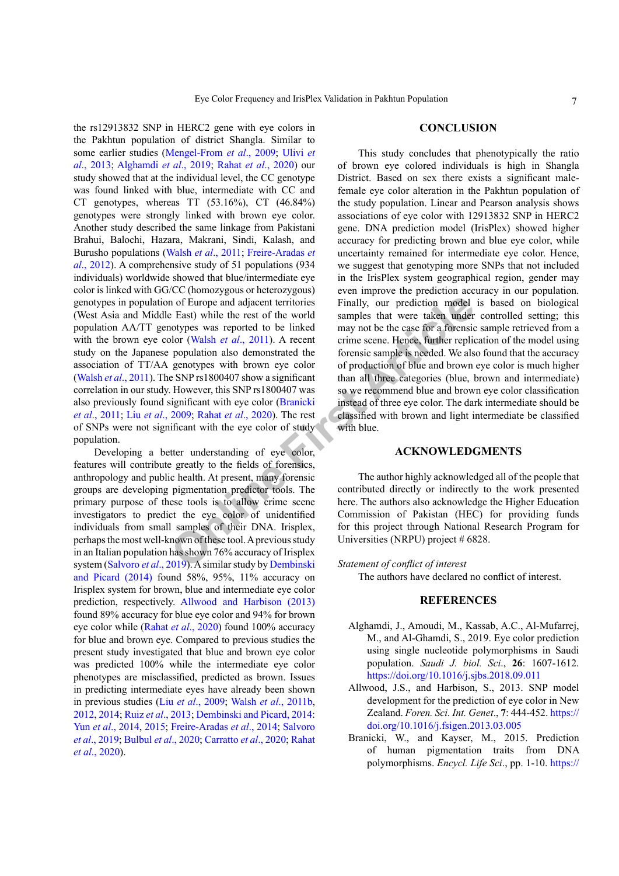**CONCLUSION**  This study concludes that phenotypically the ratio

In of Europe and adjacent territories<br>
East) while the rest of the world<br>
Simally, our prediction model<br>
Dot (Walsh et al., 2011). A recent of the case for a forensic<br>
Dor (Walsh et al., 2011). A recent crime scene. Hence, some earlier studies ([Mengel-From](#page-8-6) *et al*., 2009; [Ulivi](#page-9-4) *et al*[., 2013](#page-9-4); [Alghamdi](#page-6-1) *et al*., 2019; Rahat *et al*[., 2020](#page-8-10)) our study showed that at the individual level, the CC genotype was found linked with blue, intermediate with CC and CT genotypes, whereas TT (53.16%), CT (46.84%) genotypes were strongly linked with brown eye color. Another study described the same linkage from Pakistani Brahui, Balochi, Hazara, Makrani, Sindi, Kalash, and Burusho populations (Walsh *et al*., 2011; [Freire-Aradas](#page-7-9) *et al*[., 2012](#page-7-9)). A comprehensive study of 51 populations (934 individuals) worldwide showed that blue/intermediate eye color is linked with GG/CC (homozygous or heterozygous) genotypes in population of Europe and adjacent territories (West Asia and Middle East) while the rest of the world population AA/TT genotypes was reported to be linked with the brown eye color (Walsh *et al*., 2011). A recent study on the Japanese population also demonstrated the association of TT/AA genotypes with brown eye color (Walsh *et al*., 2011). The SNP rs1800407 show a significant correlation in our study. However, this SNP rs1800407 was also previously found significant with eye color (Branicki *et al*., 2011; Liu *et al*[., 2009](#page-8-1); Rahat *et al*., 2020). The rest of SNPs were not significant with the eye color of study of brown eye colored individuals is high in Shangla District. Based on sex there exists a significant malewith blue.

Developing a better understanding of eye color, features will contribute greatly to the fields of forensics, anthropology and public health. At present, many forensic groups are developing pigmentation predictor tools. The primary purpose of these tools is to allow crime scene investigators to predict the eye color of unidentified individuals from small samples of their DNA. Irisplex, perhaps the most well-known of these tool. A previous study in an Italian population has shown 76% accuracy of Irisplex system ([Salvoro](#page-9-5) *et al*., 2019). A similar study by Dembinski [and Picard \(2014\)](#page-7-10) found 58%, 95%, 11% accuracy on Irisplex system for brown, blue and intermediate eye color prediction, respectively. [Allwood and Harbison](#page-6-0) (2013) found 89% accuracy for blue eye color and 94% for brown eye color while (Rahat *et al*[., 2020\)](#page-8-10) found 100% accuracy for blue and brown eye. Compared to previous studies the present study investigated that blue and brown eye color was predicted 100% while the intermediate eye color phenotypes are misclassified, predicted as brown. Issues in predicting intermediate eyes have already been shown in previous studies (Liu *et al*[., 2009](#page-8-1); Walsh *et al*., 2011b, 2012, 2014; Ruiz *et al*., 2013; [Dembinski and Picard, 2014](#page-7-10): Yun *et al*., 2014, 2015; [Freire-Aradas](#page-7-9) *et al*., 2014; [Salvoro](#page-9-5) *et al*[., 2019](#page-9-5); [Bulbul](#page-7-11) *et al*., 2020; Carratto *et al*., 2020; [Rahat](#page-8-10) *et al*[., 2020](#page-8-10)).

population.

the rs12913832 SNP in HERC2 gene with eye colors in the Pakhtun population of district Shangla. Similar to

> female eye color alteration in the Pakhtun population of the study population. Linear and Pearson analysis shows associations of eye color with 12913832 SNP in HERC2 gene. DNA prediction model (IrisPlex) showed higher accuracy for predicting brown and blue eye color, while uncertainty remained for intermediate eye color. Hence, we suggest that genotyping more SNPs that not included in the IrisPlex system geographical region, gender may even improve the prediction accuracy in our population. Finally, our prediction model is based on biological samples that were taken under controlled setting; this may not be the case for a forensic sample retrieved from a crime scene. Hence, further replication of the model using forensic sample is needed. We also found that the accuracy of production of blue and brown eye color is much higher than all three categories (blue, brown and intermediate) so we recommend blue and brown eye color classification instead of three eye color. The dark intermediate should be classified with brown and light intermediate be classified

# **ACKNOWLEDGMENTS**

The author highly acknowledged all of the people that contributed directly or indirectly to the work presented here. The authors also acknowledge the Higher Education Commission of Pakistan (HEC) for providing funds for this project through National Research Program for Universities (NRPU) project # 6828.

*Statement of conflict of interest*

The authors have declared no conflict of interest.

# **REFERENCES**

- <span id="page-6-1"></span>Alghamdi, J., Amoudi, M., Kassab, A.C., Al-Mufarrej, M., and Al-Ghamdi, S., 2019. Eye color prediction using single nucleotide polymorphisms in Saudi population. *Saudi J. biol. Sci*., **26**: 1607-1612. <https://doi.org/10.1016/j.sjbs.2018.09.011>
- <span id="page-6-0"></span>Allwood, J.S., and Harbison, S., 2013. SNP model development for the prediction of eye color in New Zealand. *Foren. Sci. Int. Genet*., **7**: 444-452. [https://](https://doi.org/10.1016/j.fsigen.2013.03.005) [doi.org/10.1016/j.fsigen.2013.03.005](https://doi.org/10.1016/j.fsigen.2013.03.005)
- Branicki, W., and Kayser, M., 2015. Prediction of human pigmentation traits from DNA polymorphisms. *Encycl. Life Sci*., pp. 1-10. [https://](https://doi.org/10.1002/9780470015902.a0023851)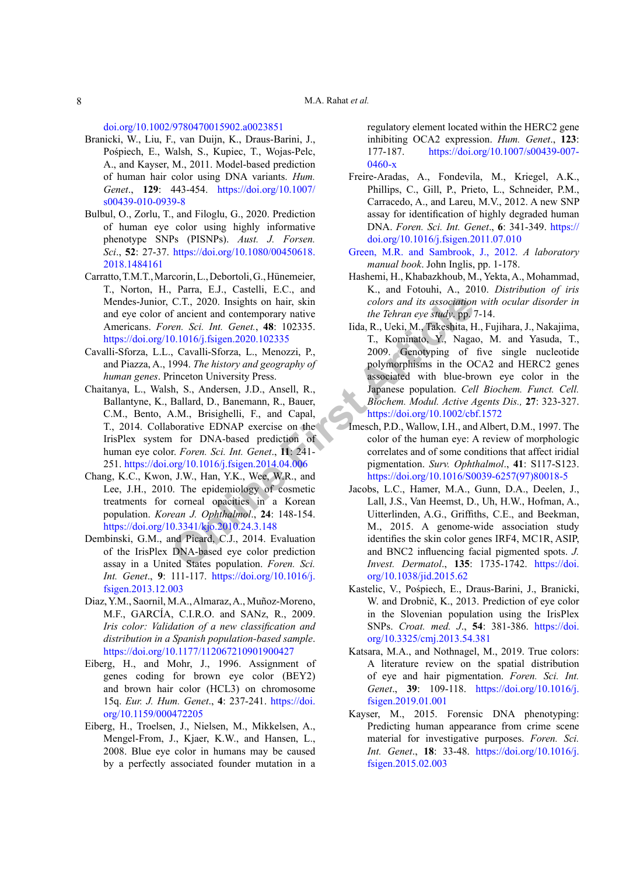[doi.org/10.1002/9780470015902.a0023851](https://doi.org/10.1002/9780470015902.a0023851)

- Branicki, W., Liu, F., van Duijn, K., Draus-Barini, J., Pośpiech, E., Walsh, S., Kupiec, T., Wojas-Pelc, A., and Kayser, M., 2011. Model-based prediction of human hair color using DNA variants. *Hum. Genet*., **129**: 443-454. [https://doi.org/10.1007/](https://doi.org/10.1007/s00439-010-0939-8) [s00439-010-0939-8](https://doi.org/10.1007/s00439-010-0939-8)
- <span id="page-7-11"></span>Bulbul, O., Zorlu, T., and Filoglu, G., 2020. Prediction of human eye color using highly informative phenotype SNPs (PISNPs). *Aust. J. Forsen. Sci*., **52**: 27-37. [https://doi.org/10.1080/00450618.](https://doi.org/10.1080/00450618.2018.1484161) [2018.1484161](https://doi.org/10.1080/00450618.2018.1484161)
- Carratto, T.M.T., Marcorin, L., Debortoli, G., Hünemeier, T., Norton, H., Parra, E.J., Castelli, E.C., and Mendes-Junior, C.T., 2020. Insights on hair, skin and eye color of ancient and contemporary native Americans. *Foren. Sci. Int. Genet.*, **48**: 102335. <https://doi.org/10.1016/j.fsigen.2020.102335>
- Cavalli-Sforza, L.L., Cavalli-Sforza, L., Menozzi, P., and Piazza, A., 1994. *The history and geography of human genes*. Princeton University Press.
- <span id="page-7-2"></span>Chaitanya, L., Walsh, S., Andersen, J.D., Ansell, R., Ballantyne, K., Ballard, D., Banemann, R., Bauer, C.M., Bento, A.M., Brisighelli, F., and Capal, T., 2014. Collaborative EDNAP exercise on the IrisPlex system for DNA-based prediction of human eye color. *Foren. Sci. Int. Genet*., **11**: 241- 251. <https://doi.org/10.1016/j.fsigen.2014.04.006>
- <span id="page-7-6"></span>Chang, K.C., Kwon, J.W., Han, Y.K., Wee, W.R., and Lee, J.H., 2010. The epidemiology of cosmetic treatments for corneal opacities in a Korean population. *Korean J. Ophthalmol*., **24**: 148-154. <https://doi.org/10.3341/kjo.2010.24.3.148>
- <span id="page-7-10"></span>Dembinski, G.M., and Picard, C.J., 2014. Evaluation of the IrisPlex DNA-based eye color prediction assay in a United States population. *Foren. Sci. Int. Genet*., **9**: 111-117. [https://doi.org/10.1016/j.](https://doi.org/10.1016/j.fsigen.2013.12.003) [fsigen.2013.12.003](https://doi.org/10.1016/j.fsigen.2013.12.003)
- Diaz, Y.M., Saornil, M.A., Almaraz, A., Muñoz-Moreno, M.F., GARCÍA, C.I.R.O. and SANz, R., 2009. *Iris color: Validation of a new classification and distribution in a Spanish population-based sample*. <https://doi.org/10.1177/112067210901900427>
- <span id="page-7-7"></span><span id="page-7-5"></span>Eiberg, H., and Mohr, J., 1996. Assignment of genes coding for brown eye color (BEY2) and brown hair color (HCL3) on chromosome 15q. *Eur. J. Hum. Genet*., **4**: 237-241. [https://doi.](https://doi.org/10.1159/000472205) [org/10.1159/000472205](https://doi.org/10.1159/000472205)
- <span id="page-7-0"></span>Eiberg, H., Troelsen, J., Nielsen, M., Mikkelsen, A., Mengel-From, J., Kjaer, K.W., and Hansen, L., 2008. Blue eye color in humans may be caused by a perfectly associated founder mutation in a

regulatory element located within the HERC2 gene inhibiting OCA2 expression. *Hum. Genet*., **123**: 177-187. [https://doi.org/10.1007/s00439-007-](https://doi.org/10.1007/s00439-007-0460-x) [0460-x](https://doi.org/10.1007/s00439-007-0460-x)

- <span id="page-7-9"></span>Freire-Aradas, A., Fondevila, M., Kriegel, A.K., Phillips, C., Gill, P., Prieto, L., Schneider, P.M., Carracedo, A., and Lareu, M.V., 2012. A new SNP assay for identification of highly degraded human DNA. *Foren. Sci. Int. Genet*., **6**: 341-349. [https://](https://doi.org/10.1016/j.fsigen.2011.07.010) [doi.org/10.1016/j.fsigen.2011.07.010](https://doi.org/10.1016/j.fsigen.2011.07.010)
- [Green, M.R. and Sambrook, J., 2012.](http://Green, M.R. and Sambrook, J., 2012. ) *A laboratory manual book*. John Inglis, pp. 1-178.
- <span id="page-7-8"></span><span id="page-7-4"></span><span id="page-7-3"></span><span id="page-7-1"></span>Hashemi, H., Khabazkhoub, M., Yekta, A., Mohammad, K., and Fotouhi, A., 2010. *Distribution of iris colors and its association with ocular disorder in the Tehran eye study*. pp. 7-14.
- **C.T., 2020.** Insights on hair, skin colors and its association<br>f ancien[t](https://doi.org/10.1002/cbf.1572) and contemporary native the Tehran eye study, pp. 7<br>
ren. Sci. Int. Genet., 48: 102335. Iida, R., Ueki, M., Takeshita, H.<br>
1. Kominato, Y., Nagan, Iida, R., Ueki, M., Takeshita, H., Fujihara, J., Nakajima, T., Kominato, Y., Nagao, M. and Yasuda, T., 2009. Genotyping of five single nucleotide polymorphisms in the OCA2 and HERC2 genes associated with blue-brown eye color in the Japanese population. *Cell Biochem. Funct. Cell. Biochem. Modul. Active Agents Dis.,* **27**: 323-327. https://doi.org/10.1002/cbf.1572
	- Imesch, P.D., Wallow, I.H., and Albert, D.M., 1997. The color of the human eye: A review of morphologic correlates and of some conditions that affect iridial pigmentation. *Surv. Ophthalmol*., **41**: S117-S123. [https://doi.org/10.1016/S0039-6257\(97\)80018-5](https://doi.org/10.1016/S0039-6257(97)80018-5)
		- Jacobs, L.C., Hamer, M.A., Gunn, D.A., Deelen, J., Lall, J.S., Van Heemst, D., Uh, H.W., Hofman, A., Uitterlinden, A.G., Griffiths, C.E., and Beekman, M., 2015. A genome-wide association study identifies the skin color genes IRF4, MC1R, ASIP, and BNC2 influencing facial pigmented spots. *J. Invest. Dermatol*., **135**: 1735-1742. [https://doi.](https://doi.org/10.1038/jid.2015.62) [org/10.1038/jid.2015.62](https://doi.org/10.1038/jid.2015.62)
		- Kastelic, V., Pośpiech, E., Draus-Barini, J., Branicki, W. and Drobnič, K., 2013. Prediction of eye color in the Slovenian population using the IrisPlex SNPs. *Croat. med. J*., **54**: 381-386. [https://doi.](https://doi.org/10.3325/cmj.2013.54.381) [org/10.3325/cmj.2013.54.381](https://doi.org/10.3325/cmj.2013.54.381)
		- Katsara, M.A., and Nothnagel, M., 2019. True colors: A literature review on the spatial distribution of eye and hair pigmentation. *Foren. Sci. Int. Genet*., **39**: 109-118. [https://doi.org/10.1016/j.](https://doi.org/10.1016/j.fsigen.2019.01.001) [fsigen.2019.01.001](https://doi.org/10.1016/j.fsigen.2019.01.001)
		- Kayser, M., 2015. Forensic DNA phenotyping: Predicting human appearance from crime scene material for investigative purposes. *Foren. Sci. Int. Genet*., **18**: 33-48. [https://doi.org/10.1016/j.](https://doi.org/10.1016/j.fsigen.2015.02.003) [fsigen.2015.02.003](https://doi.org/10.1016/j.fsigen.2015.02.003)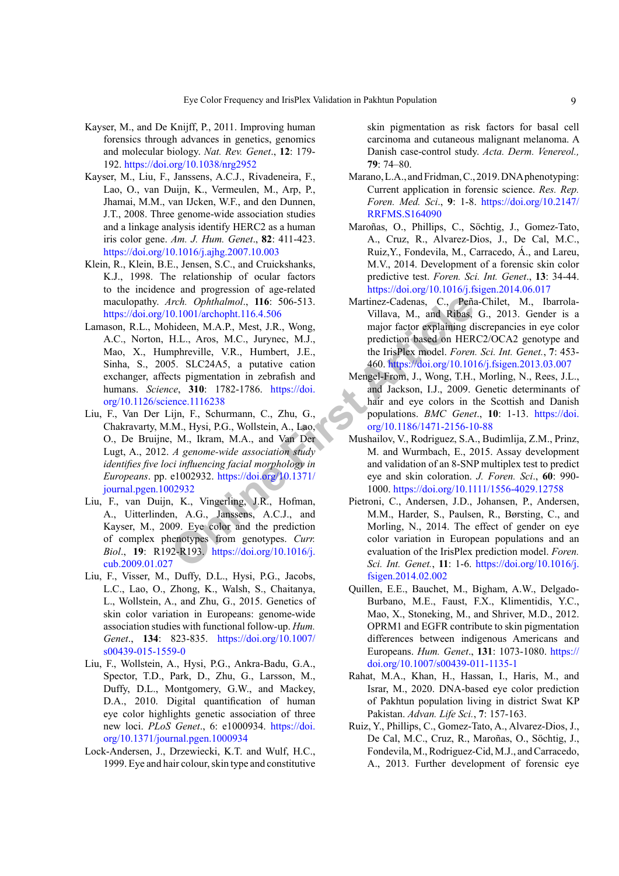- Kayser, M., and De Knijff, P., 2011. Improving human forensics through advances in genetics, genomics and molecular biology. *Nat. Rev. Genet*., **12**: 179- 192. <https://doi.org/10.1038/nrg2952>
- <span id="page-8-2"></span>Kayser, M., Liu, F., Janssens, A.C.J., Rivadeneira, F., Lao, O., van Duijn, K., Vermeulen, M., Arp, P., Jhamai, M.M., van IJcken, W.F., and den Dunnen, J.T., 2008. Three genome-wide association studies and a linkage analysis identify HERC2 as a human iris color gene. *Am. J. Hum. Genet*., **82**: 411-423. <https://doi.org/10.1016/j.ajhg.2007.10.003>
- <span id="page-8-9"></span>Klein, R., Klein, B.E., Jensen, S.C., and Cruickshanks, K.J., 1998. The relationship of ocular factors to the incidence and progression of age-related maculopathy. *Arch. Ophthalmol*., **116**: 506-513. <https://doi.org/10.1001/archopht.116.4.506>
- <span id="page-8-0"></span>11. The Fig. 11. Metricary Calentary Calentary Calentary Calentary Calentary Calentary Calentary Calentary Calentary Calentary (M. Article, Article, W.R., Humbert, J.E., the IrisPlex model *Foren* (M.A.P., Nest, J.R., Wong Lamason, R.L., Mohideen, M.A.P., Mest, J.R., Wong, A.C., Norton, H.L., Aros, M.C., Jurynec, M.J., Mao, X., Humphreville, V.R., Humbert, J.E., Sinha, S., 2005. SLC24A5, a putative cation exchanger, affects pigmentation in zebrafish and humans. *Science*, **310**: 1782-1786. https://doi. [org/10.1126/science.1116238](https://doi.org/10.1126/science.1116238)
- <span id="page-8-1"></span>Liu, F., Van Der Lijn, F., Schurmann, C., Zhu, G., Chakravarty, M.M., Hysi, P.G., Wollstein, A., Lao, O., De Bruijne, M., Ikram, M.A., and Van Der Lugt, A., 2012. *A genome-wide association study identifies five loci influencing facial morphology in Europeans*. pp. e1002932. https://doi.org/10.1371/ [journal.pgen.1002932](https://doi.org/10.1371/journal.pgen.1002932)
- <span id="page-8-3"></span>Liu, F., van Duijn, K., Vingerling, J.R., Hofman, A., Uitterlinden, A.G., Janssens, A.C.J., and Kayser, M., 2009. Eye color and the prediction of complex phenotypes from genotypes. *Curr. Biol*., **19**: R192-R193. https://doi.org/10.1016/j. [cub.2009.01.027](https://doi.org/10.1016/j.cub.2009.01.027)
- <span id="page-8-4"></span>Liu, F., Visser, M., Duffy, D.L., Hysi, P.G., Jacobs, L.C., Lao, O., Zhong, K., Walsh, S., Chaitanya, L., Wollstein, A., and Zhu, G., 2015. Genetics of skin color variation in Europeans: genome-wide association studies with functional follow-up. *Hum. Genet*., **134**: 823-835. [https://doi.org/10.1007/](https://doi.org/10.1007/s00439-015-1559-0) [s00439-015-1559-0](https://doi.org/10.1007/s00439-015-1559-0)
- <span id="page-8-5"></span>Liu, F., Wollstein, A., Hysi, P.G., Ankra-Badu, G.A., Spector, T.D., Park, D., Zhu, G., Larsson, M., Duffy, D.L., Montgomery, G.W., and Mackey, D.A., 2010. Digital quantification of human eye color highlights genetic association of three new loci. *PLoS Genet*., 6: e1000934. [https://doi.](https://doi.org/10.1371/journal.pgen.1000934) [org/10.1371/journal.pgen.1000934](https://doi.org/10.1371/journal.pgen.1000934)
- <span id="page-8-11"></span>Lock-Andersen, J., Drzewiecki, K.T. and Wulf, H.C., 1999. Eye and hair colour, skin type and constitutive

skin pigmentation as risk factors for basal cell carcinoma and cutaneous malignant melanoma. A Danish case-control study. *Acta. Derm. Venereol.,*  **79**: 74–80.

- <span id="page-8-12"></span>Marano, L.A., and Fridman, C., 2019. DNA phenotyping: Current application in forensic science. *Res. Rep. Foren. Med. Sci*., **9**: 1-8. [https://doi.org/10.2147/](https://doi.org/10.2147/RRFMS.S164090) [RRFMS.S164090](https://doi.org/10.2147/RRFMS.S164090)
- Maroñas, O., Phillips, C., Söchtig, J., Gomez-Tato, A., Cruz, R., Alvarez-Dios, J., De Cal, M.C., Ruiz,Y., Fondevila, M., Carracedo, Á., and Lareu, M.V., 2014. Development of a forensic skin color predictive test. *Foren. Sci. Int. Genet*., **13**: 34-44. <https://doi.org/10.1016/j.fsigen.2014.06.017>
- Martinez-Cadenas, C., Peña-Chilet, M., Ibarrola-Villava, M., and Ribas, G., 2013. Gender is a major factor explaining discrepancies in eye color prediction based on HERC2/OCA2 genotype and the IrisPlex model. *Foren. Sci. Int. Genet.*, **7**: 453- 460.<https://doi.org/10.1016/j.fsigen.2013.03.007>
- <span id="page-8-6"></span>Mengel-From, J., Wong, T.H., Morling, N., Rees, J.L., and Jackson, I.J., 2009. Genetic determinants of hair and eye colors in the Scottish and Danish populations. *BMC Genet*., **10**: 1-13. [https://doi.](https://doi.org/10.1186/1471-2156-10-88) org/10.1186/1471-2156-10-88
- <span id="page-8-8"></span>Mushailov, V., Rodriguez, S.A., Budimlija, Z.M., Prinz, M. and Wurmbach, E., 2015. Assay development and validation of an 8-SNP multiplex test to predict eye and skin coloration. *J. Foren. Sci*., **60**: 990- 1000.<https://doi.org/10.1111/1556-4029.12758>
- Pietroni, C., Andersen, J.D., Johansen, P., Andersen, M.M., Harder, S., Paulsen, R., Børsting, C., and Morling, N., 2014. The effect of gender on eye color variation in European populations and an evaluation of the IrisPlex prediction model. *Foren. Sci. Int. Genet.*, **11**: 1-6. [https://doi.org/10.1016/j.](https://doi.org/10.1016/j.fsigen.2014.02.002) [fsigen.2014.02.002](https://doi.org/10.1016/j.fsigen.2014.02.002)
- <span id="page-8-7"></span>Quillen, E.E., Bauchet, M., Bigham, A.W., Delgado-Burbano, M.E., Faust, F.X., Klimentidis, Y.C., Mao, X., Stoneking, M., and Shriver, M.D., 2012. OPRM1 and EGFR contribute to skin pigmentation differences between indigenous Americans and Europeans. *Hum. Genet*., **131**: 1073-1080. [https://](https://doi.org/10.1007/s00439-011-1135-1) [doi.org/10.1007/s00439-011-1135-1](https://doi.org/10.1007/s00439-011-1135-1)
- <span id="page-8-10"></span>Rahat, M.A., Khan, H., Hassan, I., Haris, M., and Israr, M., 2020. DNA-based eye color prediction of Pakhtun population living in district Swat KP Pakistan. *Advan. Life Sci.*, **7**: 157-163.
- Ruiz, Y., Phillips, C., Gomez-Tato, A., Alvarez-Dios, J., De Cal, M.C., Cruz, R., Maroñas, O., Söchtig, J., Fondevila, M., Rodriguez-Cid, M.J., and Carracedo, A., 2013. Further development of forensic eye